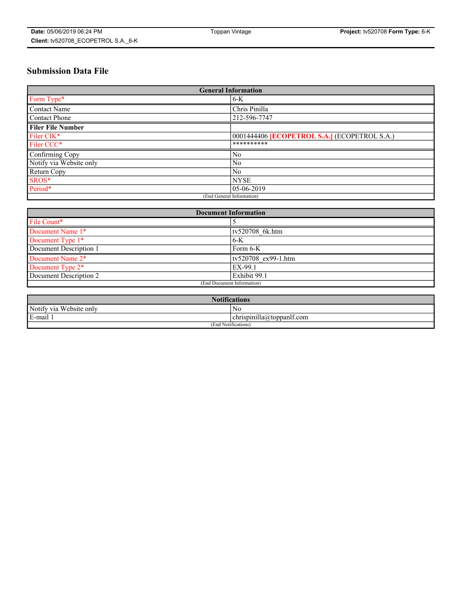# **Submission Data File**

| <b>General Information</b> |                                                     |  |  |  |  |
|----------------------------|-----------------------------------------------------|--|--|--|--|
| Form Type*                 | $6 - K$                                             |  |  |  |  |
| Contact Name               | Chris Pinilla                                       |  |  |  |  |
| Contact Phone              | 212-596-7747                                        |  |  |  |  |
| <b>Filer File Number</b>   |                                                     |  |  |  |  |
| Filer CIK*                 | 0001444406 <b>[ECOPETROL S.A.]</b> (ECOPETROL S.A.) |  |  |  |  |
| Filer CCC*                 | **********                                          |  |  |  |  |
| Confirming Copy            | N <sub>0</sub>                                      |  |  |  |  |
| Notify via Website only    | N <sub>0</sub>                                      |  |  |  |  |
| Return Copy                | N <sub>0</sub>                                      |  |  |  |  |
| SROS*                      | <b>NYSE</b>                                         |  |  |  |  |
| Period*                    | 05-06-2019                                          |  |  |  |  |
| (End General Information)  |                                                     |  |  |  |  |

| <b>Document Information</b> |                            |  |  |
|-----------------------------|----------------------------|--|--|
| File Count*                 |                            |  |  |
| Document Name 1*            | ty520708 6k.htm            |  |  |
| Document Type 1*            | $6-K$                      |  |  |
| Document Description 1      | Form 6-K                   |  |  |
| Document Name 2*            | tv520708 ex99-1.htm        |  |  |
| Document Type 2*            | EX-99.1                    |  |  |
| Document Description 2      | Exhibit 99.1               |  |  |
|                             | (End Document Information) |  |  |

| <b>Notifications</b>                           |                |  |  |
|------------------------------------------------|----------------|--|--|
| Notify via<br>Website only                     | N <sub>0</sub> |  |  |
| <br>$E$ -mail 1<br>chrispinilla(a)toppanif.com |                |  |  |
| (End Notifications)                            |                |  |  |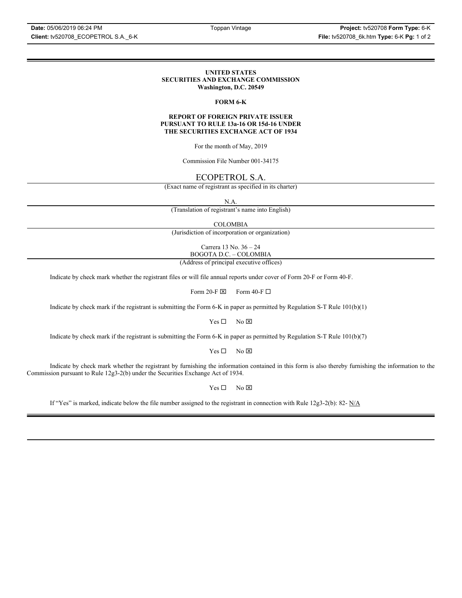#### **UNITED STATES SECURITIES AND EXCHANGE COMMISSION Washington, D.C. 20549**

## **FORM 6-K**

#### **REPORT OF FOREIGN PRIVATE ISSUER PURSUANT TO RULE 13a-16 OR 15d-16 UNDER THE SECURITIES EXCHANGE ACT OF 1934**

For the month of May, 2019

Commission File Number 001-34175

## ECOPETROL S.A.

(Exact name of registrant as specified in its charter)

N.A.

(Translation of registrant's name into English)

COLOMBIA

(Jurisdiction of incorporation or organization)

Carrera 13 No. 36 – 24 BOGOTA D.C. – COLOMBIA

(Address of principal executive offices)

Indicate by check mark whether the registrant files or will file annual reports under cover of Form 20-F or Form 40-F.

Form 20-F  $\boxtimes$  Form 40-F  $\Box$ 

Indicate by check mark if the registrant is submitting the Form 6-K in paper as permitted by Regulation S-T Rule 101(b)(1)

 $Yes \Box$  No  $\boxtimes$ 

Indicate by check mark if the registrant is submitting the Form 6-K in paper as permitted by Regulation S-T Rule 101(b)(7)

 $Yes \Box$  No  $\boxtimes$ 

Indicate by check mark whether the registrant by furnishing the information contained in this form is also thereby furnishing the information to the Commission pursuant to Rule 12g3-2(b) under the Securities Exchange Act of 1934.

 $Yes \Box$  No  $\boxtimes$ 

If "Yes" is marked, indicate below the file number assigned to the registrant in connection with Rule 12g3-2(b): 82-  $N/A$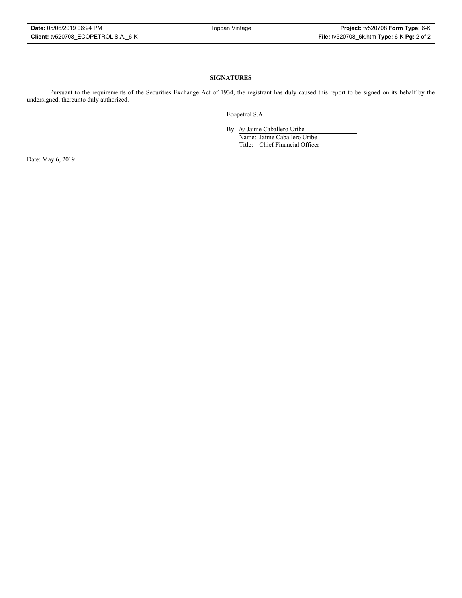### **SIGNATURES**

Pursuant to the requirements of the Securities Exchange Act of 1934, the registrant has duly caused this report to be signed on its behalf by the undersigned, thereunto duly authorized.

Ecopetrol S.A.

By: /s/ Jaime Caballero Uribe

Name: Jaime Caballero Uribe Title: Chief Financial Officer

Date: May 6, 2019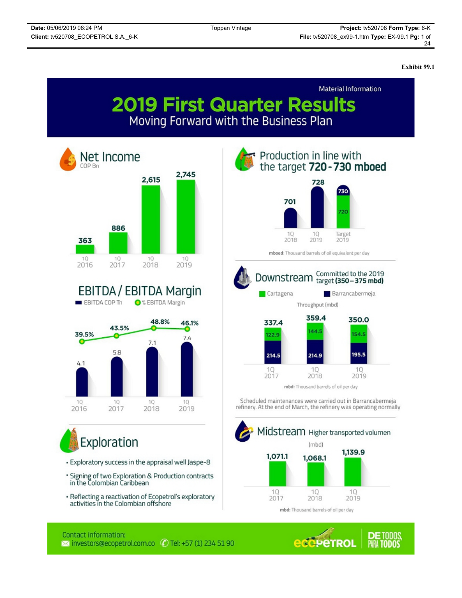**Exhibit 99.1**



activities in the Colombian offshore

mbd: Thousand barrels of oil per day

## Contact information:  $\blacksquare$  investors@ecopetrol.com.co  $\bigcirc$  Tel: +57 (1) 234 51 90

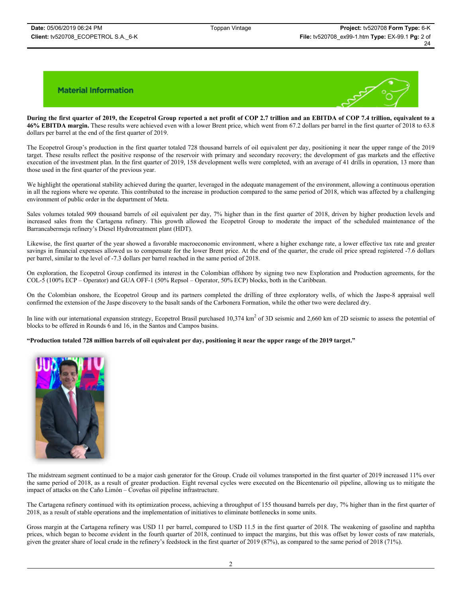

**During the first quarter of 2019, the Ecopetrol Group reported a net profit of COP 2.7 trillion and an EBITDA of COP 7.4 trillion, equivalent to a 46% EBITDA margin.** These results were achieved even with a lower Brent price, which went from 67.2 dollars per barrel in the first quarter of 2018 to 63.8 dollars per barrel at the end of the first quarter of 2019.

The Ecopetrol Group's production in the first quarter totaled 728 thousand barrels of oil equivalent per day, positioning it near the upper range of the 2019 target. These results reflect the positive response of the reservoir with primary and secondary recovery; the development of gas markets and the effective execution of the investment plan. In the first quarter of 2019, 158 development wells were completed, with an average of 41 drills in operation, 13 more than those used in the first quarter of the previous year.

We highlight the operational stability achieved during the quarter, leveraged in the adequate management of the environment, allowing a continuous operation in all the regions where we operate. This contributed to the increase in production compared to the same period of 2018, which was affected by a challenging environment of public order in the department of Meta.

Sales volumes totaled 909 thousand barrels of oil equivalent per day, 7% higher than in the first quarter of 2018, driven by higher production levels and increased sales from the Cartagena refinery. This growth allowed the Ecopetrol Group to moderate the impact of the scheduled maintenance of the Barrancabermeja refinery's Diesel Hydrotreatment plant (HDT).

Likewise, the first quarter of the year showed a favorable macroeconomic environment, where a higher exchange rate, a lower effective tax rate and greater savings in financial expenses allowed us to compensate for the lower Brent price. At the end of the quarter, the crude oil price spread registered -7.6 dollars per barrel, similar to the level of -7.3 dollars per barrel reached in the same period of 2018.

On exploration, the Ecopetrol Group confirmed its interest in the Colombian offshore by signing two new Exploration and Production agreements, for the COL-5 (100% ECP – Operator) and GUA OFF-1 (50% Repsol – Operator, 50% ECP) blocks, both in the Caribbean.

On the Colombian onshore, the Ecopetrol Group and its partners completed the drilling of three exploratory wells, of which the Jaspe-8 appraisal well confirmed the extension of the Jaspe discovery to the basalt sands of the Carbonera Formation, while the other two were declared dry.

In line with our international expansion strategy, Ecopetrol Brasil purchased  $10,374 \text{ km}^2$  of 3D seismic and 2,660 km of 2D seismic to assess the potential of blocks to be offered in Rounds 6 and 16, in the Santos and Campos basins.

**"Production totaled 728 million barrels of oil equivalent per day, positioning it near the upper range of the 2019 target."**



The midstream segment continued to be a major cash generator for the Group. Crude oil volumes transported in the first quarter of 2019 increased 11% over the same period of 2018, as a result of greater production. Eight reversal cycles were executed on the Bicentenario oil pipeline, allowing us to mitigate the impact of attacks on the Caño Limón – Coveñas oil pipeline infrastructure.

The Cartagena refinery continued with its optimization process, achieving a throughput of 155 thousand barrels per day, 7% higher than in the first quarter of 2018, as a result of stable operations and the implementation of initiatives to eliminate bottlenecks in some units.

Gross margin at the Cartagena refinery was USD 11 per barrel, compared to USD 11.5 in the first quarter of 2018. The weakening of gasoline and naphtha prices, which began to become evident in the fourth quarter of 2018, continued to impact the margins, but this was offset by lower costs of raw materials, given the greater share of local crude in the refinery's feedstock in the first quarter of 2019 (87%), as compared to the same period of 2018 (71%).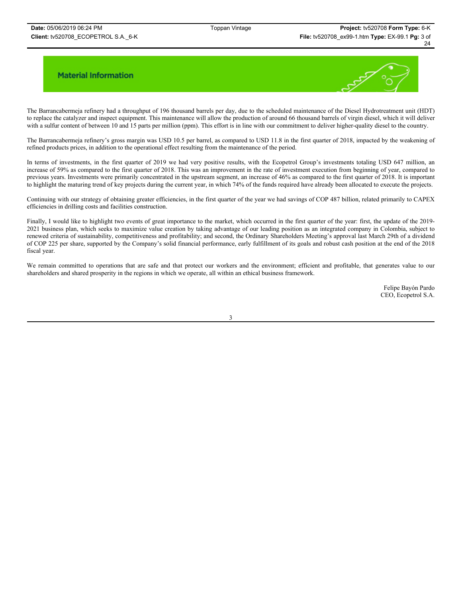

The Barrancabermeja refinery had a throughput of 196 thousand barrels per day, due to the scheduled maintenance of the Diesel Hydrotreatment unit (HDT) to replace the catalyzer and inspect equipment. This maintenance will allow the production of around 66 thousand barrels of virgin diesel, which it will deliver with a sulfur content of between 10 and 15 parts per million (ppm). This effort is in line with our commitment to deliver higher-quality diesel to the country.

The Barrancabermeja refinery's gross margin was USD 10.5 per barrel, as compared to USD 11.8 in the first quarter of 2018, impacted by the weakening of refined products prices, in addition to the operational effect resulting from the maintenance of the period.

In terms of investments, in the first quarter of 2019 we had very positive results, with the Ecopetrol Group's investments totaling USD 647 million, an increase of 59% as compared to the first quarter of 2018. This was an improvement in the rate of investment execution from beginning of year, compared to previous years. Investments were primarily concentrated in the upstream segment, an increase of 46% as compared to the first quarter of 2018. It is important to highlight the maturing trend of key projects during the current year, in which 74% of the funds required have already been allocated to execute the projects.

Continuing with our strategy of obtaining greater efficiencies, in the first quarter of the year we had savings of COP 487 billion, related primarily to CAPEX efficiencies in drilling costs and facilities construction.

Finally, I would like to highlight two events of great importance to the market, which occurred in the first quarter of the year: first, the update of the 2019- 2021 business plan, which seeks to maximize value creation by taking advantage of our leading position as an integrated company in Colombia, subject to renewed criteria of sustainability, competitiveness and profitability; and second, the Ordinary Shareholders Meeting's approval last March 29th of a dividend of COP 225 per share, supported by the Company's solid financial performance, early fulfillment of its goals and robust cash position at the end of the 2018 fiscal year.

We remain committed to operations that are safe and that protect our workers and the environment; efficient and profitable, that generates value to our shareholders and shared prosperity in the regions in which we operate, all within an ethical business framework.

> Felipe Bayón Pardo CEO, Ecopetrol S.A.

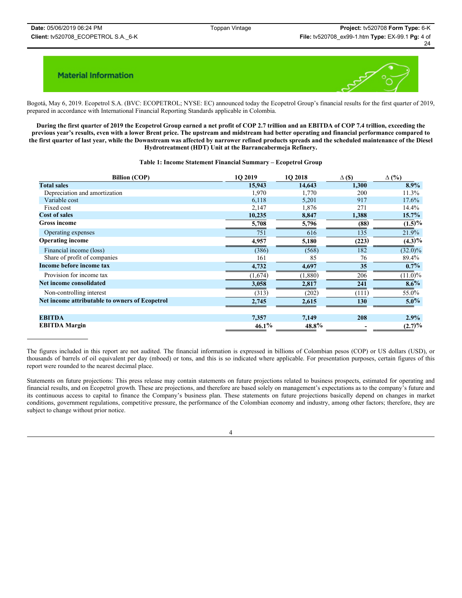

Bogotá, May 6, 2019. Ecopetrol S.A. (BVC: ECOPETROL; NYSE: EC) announced today the Ecopetrol Group's financial results for the first quarter of 2019, prepared in accordance with International Financial Reporting Standards applicable in Colombia.

**During the first quarter of 2019 the Ecopetrol Group earned a net profit of COP 2.7 trillion and an EBITDA of COP 7.4 trillion, exceeding the previous year's results, even with a lower Brent price. The upstream and midstream had better operating and financial performance compared to the first quarter of last year, while the Downstream was affected by narrower refined products spreads and the scheduled maintenance of the Diesel Hydrotreatment (HDT) Unit at the Barrancabermeja Refinery.** 

#### **Table 1: Income Statement Financial Summary – Ecopetrol Group**

| <b>Billion (COP)</b>                           | 1O 2019  | 1O 2018  | $\Delta$ (\$) | $\Delta$ (%) |
|------------------------------------------------|----------|----------|---------------|--------------|
| <b>Total sales</b>                             | 15,943   | 14,643   | 1,300         | $8.9\%$      |
| Depreciation and amortization                  | 1,970    | 1,770    | 200           | 11.3%        |
| Variable cost                                  | 6,118    | 5,201    | 917           | 17.6%        |
| Fixed cost                                     | 2,147    | 1,876    | 271           | 14.4%        |
| <b>Cost of sales</b>                           | 10,235   | 8,847    | 1,388         | $15.7\%$     |
| <b>Gross income</b>                            | 5,708    | 5,796    | (88)          | $(1.5)\%$    |
| Operating expenses                             | 751      | 616      | 135           | 21.9%        |
| <b>Operating income</b>                        | 4,957    | 5,180    | (223)         | $(4.3)\%$    |
| Financial income (loss)                        | (386)    | (568)    | 182           | $(32.0)\%$   |
| Share of profit of companies                   | 161      | 85       | 76            | 89.4%        |
| Income before income tax                       | 4,732    | 4,697    | 35            | $0.7\%$      |
| Provision for income tax                       | (1,674)  | (1,880)  | 206           | $(11.0)\%$   |
| Net income consolidated                        | 3,058    | 2,817    | 241           | $8.6\%$      |
| Non-controlling interest                       | (313)    | (202)    | (111)         | 55.0%        |
| Net income attributable to owners of Ecopetrol | 2,745    | 2,615    | <b>130</b>    | $5.0\%$      |
| <b>EBITDA</b>                                  | 7,357    | 7,149    | 208           | 2.9%         |
| <b>EBITDA</b> Margin                           | $46.1\%$ | $48.8\%$ |               | (2.7)%       |

The figures included in this report are not audited. The financial information is expressed in billions of Colombian pesos (COP) or US dollars (USD), or thousands of barrels of oil equivalent per day (mboed) or tons, and this is so indicated where applicable. For presentation purposes, certain figures of this report were rounded to the nearest decimal place.

Statements on future projections: This press release may contain statements on future projections related to business prospects, estimated for operating and financial results, and on Ecopetrol growth. These are projections, and therefore are based solely on management's expectations as to the company's future and its continuous access to capital to finance the Company's business plan. These statements on future projections basically depend on changes in market conditions, government regulations, competitive pressure, the performance of the Colombian economy and industry, among other factors; therefore, they are subject to change without prior notice.

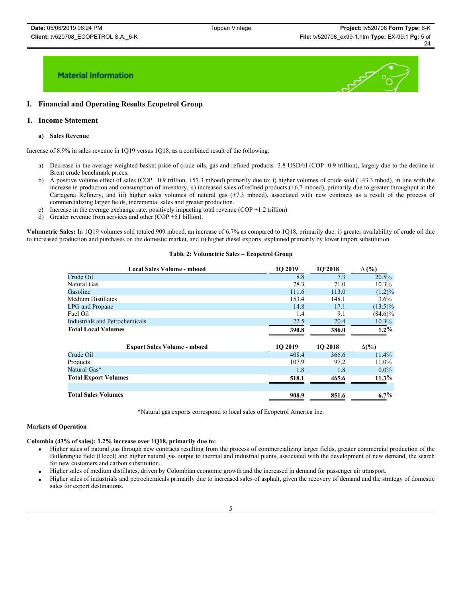

## **I. Financial and Operating Results Ecopetrol Group**

## **1. Income Statement**

### **a) Sales Revenue**

Increase of 8.9% in sales revenue in 1Q19 versus 1Q18, as a combined result of the following:

- a) Decrease in the average weighted basket price of crude oils, gas and refined products -3.8 USD/bl (COP -0.9 trillion), largely due to the decline in Brent crude benchmark prices.
- b) A positive volume effect of sales (COP +0.9 trillion, +57.3 mboed) primarily due to: i) higher volumes of crude sold (+43.3 mbod), in line with the increase in production and consumption of inventory, ii) increased sales of refined products (+6.7 mboed), primarily due to greater throughput at the Cartagena Refinery, and iii) higher sales volumes of natural gas (+7.3 mboed), associated with new contracts as a result of the process of commercializing larger fields, incremental sales and greater production.
- c) Increase in the average exchange rate, positively impacting total revenue (COP  $+1.2$  trillion)
- d) Greater revenue from services and other (COP +51 billion).

**Volumetric Sales:** In 1Q19 volumes sold totaled 909 mboed, an increase of 6.7% as compared to 1Q18, primarily due: i) greater availability of crude oil due to increased production and purchases on the domestic market, and ii) higher diesel exports, explained primarily by lower import substitution.

#### **Table 2: Volumetric Sales – Ecopetrol Group**

| <b>Local Sales Volume - mboed</b>  | <b>1O 2019</b> | 1Q 2018 | $\Delta$ (%) |  |
|------------------------------------|----------------|---------|--------------|--|
| Crude Oil                          | 8.8            | 7.3     | 20.5%        |  |
| Natural Gas                        | 78.3           | 71.0    | $10.3\%$     |  |
| Gasoline                           | 111.6          | 113.0   | $(1.2)\%$    |  |
| Medium Distillates                 | 153.4          | 148.1   | $3.6\%$      |  |
| LPG and Propane                    | 14.8           | 17.1    | $(13.5)\%$   |  |
| Fuel Oil                           | 1.4            | 9.1     | $(84.6)\%$   |  |
| Industrials and Petrochemicals     | 22.5           | 20.4    | $10.3\%$     |  |
| <b>Total Local Volumes</b>         | 390.8          | 386.0   | $1.2\%$      |  |
| <b>Export Sales Volume - mboed</b> | <b>1O 2019</b> | 1Q 2018 | $\Delta(\%)$ |  |
| Crude Oil                          | 408.4          | 366.6   | 11.4%        |  |
| Products                           | 107.9          | 97.2    | $11.0\%$     |  |
| Natural Gas*                       | 1.8            | 1.8     | $0.0\%$      |  |
| <b>Total Export Volumes</b>        | 518.1          | 465.6   | $11.3\%$     |  |
| <b>Total Sales Volumes</b>         | 908.9          | 851.6   | $6.7\%$      |  |

\*Natural gas exports correspond to local sales of Ecopetrol America Inc.

### **Markets of Operation**

## **Colombia (43% of sales): 1.2% increase over 1Q18, primarily due to:**

- x Higher sales of natural gas through new contracts resulting from the process of commercializing larger fields, greater commercial production of the Bullerengue field (Hocol) and higher natural gas output to thermal and industrial plants, associated with the development of new demand, the search for new customers and carbon substitution.
- x Higher sales of medium distillates, driven by Colombian economic growth and the increased in demand for passenger air transport.
- Higher sales of industrials and petrochemicals primarily due to increased sales of asphalt, given the recovery of demand and the strategy of domestic sales for export destinations.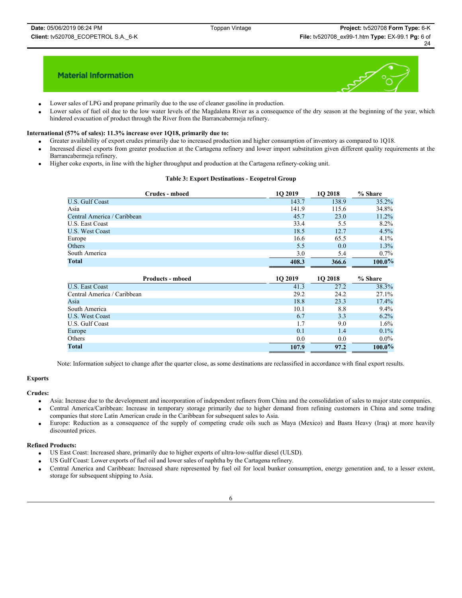

- Lower sales of LPG and propane primarily due to the use of cleaner gasoline in production.
- Lower sales of fuel oil due to the low water levels of the Magdalena River as a consequence of the dry season at the beginning of the year, which hindered evacuation of product through the River from the Barrancabermeja refinery.

#### **International (57% of sales): 11.3% increase over 1Q18, primarily due to:**

- Greater availability of export crudes primarily due to increased production and higher consumption of inventory as compared to 1Q18.
- Increased diesel exports from greater production at the Cartagena refinery and lower import substitution given different quality requirements at the Barrancabermeja refinery.
- Higher coke exports, in line with the higher throughput and production at the Cartagena refinery-coking unit.

### **Table 3: Export Destinations - Ecopetrol Group**

| Crudes - mboed              | 10 2019 | <b>1O 2018</b> | % Share |
|-----------------------------|---------|----------------|---------|
| <b>U.S. Gulf Coast</b>      | 143.7   | 138.9          | 35.2%   |
| Asia                        | 141.9   | 115.6          | 34.8%   |
| Central America / Caribbean | 45.7    | 23.0           | 11.2%   |
| U.S. East Coast             | 33.4    | 5.5            | 8.2%    |
| U.S. West Coast             | 18.5    | 12.7           | 4.5%    |
| Europe                      | 16.6    | 65.5           | 4.1%    |
| Others                      | 5.5     | 0.0            | 1.3%    |
| South America               | 3.0     | 5.4            | $0.7\%$ |
| Total                       | 408.3   | 366.6          | 100.0%  |

| <b>Products - mboed</b>     | <b>1O 2019</b> | <b>102018</b> | % Share   |
|-----------------------------|----------------|---------------|-----------|
| <b>U.S. East Coast</b>      | 41.3           | 27.2          | 38.3%     |
| Central America / Caribbean | 29.2           | 24.2          | 27.1%     |
| Asia                        | 18.8           | 23.3          | 17.4%     |
| South America               | 10.1           | 8.8           | 9.4%      |
| <b>U.S. West Coast</b>      | 6.7            | 3.3           | 6.2%      |
| U.S. Gulf Coast             | 1.7            | 9.0           | 1.6%      |
| Europe                      | 0.1            | 1.4           | 0.1%      |
| Others                      | 0.0            | 0.0           | $0.0\%$   |
| <b>Total</b>                | 107.9          | 97.2          | $100.0\%$ |

Note: Information subject to change after the quarter close, as some destinations are reclassified in accordance with final export results.

# **Exports**

## **Crudes:**

- x Asia: Increase due to the development and incorporation of independent refiners from China and the consolidation of sales to major state companies.
- x Central America/Caribbean: Increase in temporary storage primarily due to higher demand from refining customers in China and some trading companies that store Latin American crude in the Caribbean for subsequent sales to Asia.
- x Europe: Reduction as a consequence of the supply of competing crude oils such as Maya (Mexico) and Basra Heavy (Iraq) at more heavily discounted prices.

#### **Refined Products:**

- US East Coast: Increased share, primarily due to higher exports of ultra-low-sulfur diesel (ULSD).
- x US Gulf Coast: Lower exports of fuel oil and lower sales of naphtha by the Cartagena refinery.
- x Central America and Caribbean: Increased share represented by fuel oil for local bunker consumption, energy generation and, to a lesser extent, storage for subsequent shipping to Asia.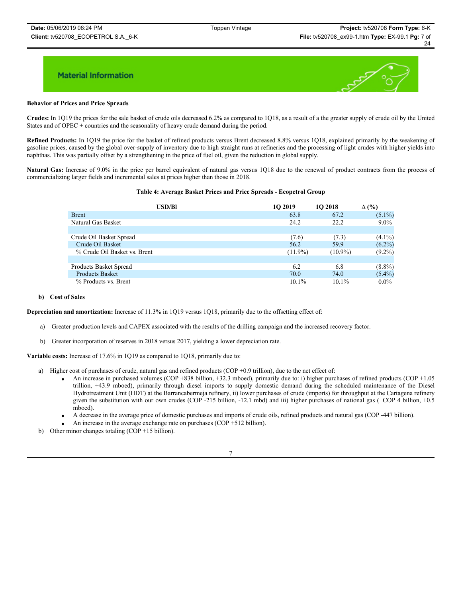

#### **Behavior of Prices and Price Spreads**

**Crudes:** In 1Q19 the prices for the sale basket of crude oils decreased 6.2% as compared to 1Q18, as a result of a the greater supply of crude oil by the United States and of OPEC + countries and the seasonality of heavy crude demand during the period.

**Refined Products:** In 1Q19 the price for the basket of refined products versus Brent decreased 8.8% versus 1Q18, explained primarily by the weakening of gasoline prices, caused by the global over-supply of inventory due to high straight runs at refineries and the processing of light crudes with higher yields into naphthas. This was partially offset by a strengthening in the price of fuel oil, given the reduction in global supply.

**Natural Gas:** Increase of 9.0% in the price per barrel equivalent of natural gas versus 1Q18 due to the renewal of product contracts from the process of commercializing larger fields and incremental sales at prices higher than those in 2018.

#### **Table 4: Average Basket Prices and Price Spreads - Ecopetrol Group**

| <b>USD/Bl</b>                | 10 2019    | <b>1O 2018</b> | (%)<br>Δ  |
|------------------------------|------------|----------------|-----------|
| <b>Brent</b>                 | 63.8       | 67.2           | $(5.1\%)$ |
| Natural Gas Basket           | 24.2       | 22.2           | $9.0\%$   |
|                              |            |                |           |
| Crude Oil Basket Spread      | (7.6)      | (7.3)          | $(4.1\%)$ |
| Crude Oil Basket             | 56.2       | 59.9           | $(6.2\%)$ |
| % Crude Oil Basket vs. Brent | $(11.9\%)$ | $(10.9\%)$     | $(9.2\%)$ |
|                              |            |                |           |
| Products Basket Spread       | 6.2        | 6.8            | $(8.8\%)$ |
| <b>Products Basket</b>       | 70.0       | 74.0           | $(5.4\%)$ |
| % Products vs. Brent         | $10.1\%$   | $10.1\%$       | $0.0\%$   |

#### **b) Cost of Sales**

**Depreciation and amortization:** Increase of 11.3% in 1Q19 versus 1Q18, primarily due to the offsetting effect of:

- a) Greater production levels and CAPEX associated with the results of the drilling campaign and the increased recovery factor.
- b) Greater incorporation of reserves in 2018 versus 2017, yielding a lower depreciation rate.

**Variable costs:** Increase of 17.6% in 1Q19 as compared to 1Q18, primarily due to:

- a) Higher cost of purchases of crude, natural gas and refined products (COP +0.9 trillion), due to the net effect of:
	- x An increase in purchased volumes (COP +838 billion, +32.3 mboed), primarily due to: i) higher purchases of refined products (COP +1.05 trillion, +43.9 mboed), primarily through diesel imports to supply domestic demand during the scheduled maintenance of the Diesel Hydrotreatment Unit (HDT) at the Barrancabermeja refinery, ii) lower purchases of crude (imports) for throughput at the Cartagena refinery given the substitution with our own crudes (COP -215 billion, -12.1 mbd) and iii) higher purchases of national gas (+COP 4 billion, +0.5 mboed).
	- x A decrease in the average price of domestic purchases and imports of crude oils, refined products and natural gas (COP -447 billion).
	- An increase in the average exchange rate on purchases (COP  $+512$  billion).
- b) Other minor changes totaling (COP +15 billion).

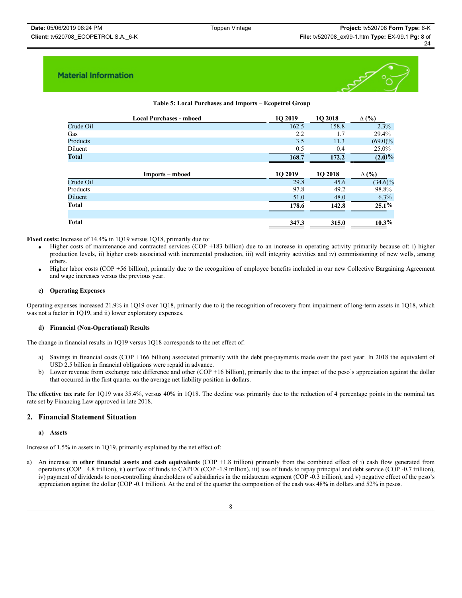

## **Table 5: Local Purchases and Imports – Ecopetrol Group**

|              | <b>Local Purchases - mboed</b> | 1O 2019 | 1O 2018        | $\Delta$ (%) |
|--------------|--------------------------------|---------|----------------|--------------|
| Crude Oil    |                                | 162.5   | 158.8          | 2.3%         |
| Gas          |                                | 2.2     | 1.7            | 29.4%        |
| Products     |                                | 3.5     | 11.3           | $(69.0)\%$   |
| Diluent      |                                | 0.5     | 0.4            | 25.0%        |
| <b>Total</b> |                                | 168.7   | 172.2          | $(2.0)\%$    |
|              |                                |         |                |              |
|              | Imports – mboed                | 1Q 2019 | <b>1O 2018</b> | $\Delta$ (%) |
| Crude Oil    |                                | 29.8    | 45.6           | $(34.6)\%$   |
| Products     |                                | 97.8    | 49.2           | 98.8%        |
| Diluent      |                                | 51.0    | 48.0           | $6.3\%$      |
| Total        |                                | 178.6   | 142.8          | $25.1\%$     |
|              |                                |         |                |              |
|              |                                |         |                |              |

**Fixed costs:** Increase of 14.4% in 1Q19 versus 1Q18, primarily due to:

- Higher costs of maintenance and contracted services (COP +183 billion) due to an increase in operating activity primarily because of: i) higher production levels, ii) higher costs associated with incremental production, iii) well integrity activities and iv) commissioning of new wells, among others.
- Higher labor costs (COP +56 billion), primarily due to the recognition of employee benefits included in our new Collective Bargaining Agreement and wage increases versus the previous year.

#### **c) Operating Expenses**

Operating expenses increased 21.9% in 1Q19 over 1Q18, primarily due to i) the recognition of recovery from impairment of long-term assets in 1Q18, which was not a factor in 1Q19, and ii) lower exploratory expenses.

#### **d) Financial (Non-Operational) Results**

The change in financial results in 1Q19 versus 1Q18 corresponds to the net effect of:

- a) Savings in financial costs (COP +166 billion) associated primarily with the debt pre-payments made over the past year. In 2018 the equivalent of USD 2.5 billion in financial obligations were repaid in advance.
- b) Lower revenue from exchange rate difference and other (COP +16 billion), primarily due to the impact of the peso's appreciation against the dollar that occurred in the first quarter on the average net liability position in dollars.

The **effective tax rate** for 1Q19 was 35.4%, versus 40% in 1Q18. The decline was primarily due to the reduction of 4 percentage points in the nominal tax rate set by Financing Law approved in late 2018.

### **2. Financial Statement Situation**

#### **a) Assets**

Increase of 1.5% in assets in 1Q19, primarily explained by the net effect of:

a) An increase in **other financial assets and cash equivalents** (COP +1.8 trillion) primarily from the combined effect of i) cash flow generated from operations (COP +4.8 trillion), ii) outflow of funds to CAPEX (COP -1.9 trillion), iii) use of funds to repay principal and debt service (COP -0.7 trillion), iv) payment of dividends to non-controlling shareholders of subsidiaries in the midstream segment (COP -0.3 trillion), and v) negative effect of the peso's appreciation against the dollar (COP -0.1 trillion). At the end of the quarter the composition of the cash was 48% in dollars and 52% in pesos.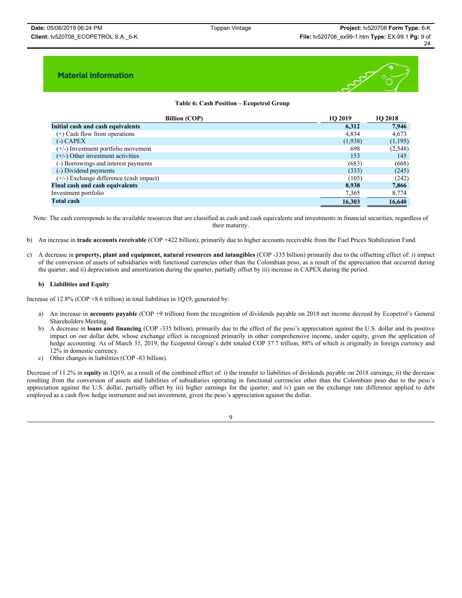

## **Table 6: Cash Position – Ecopetrol Group**

| <b>Billion (COP)</b>                      | <b>1O 2019</b> | 10 2018 |
|-------------------------------------------|----------------|---------|
| Initial cash and cash equivalents         | 6,312          | 7,946   |
| $(+)$ Cash flow from operations           | 4,834          | 4,673   |
| $(-)$ CAPEX                               | (1,938)        | (1,195) |
| (+/-) Investment portfolio movement       | 698            | (2,548) |
| $(+/-)$ Other investment activities       | 153            | 145     |
| (-) Borrowings and interest payments      | (683)          | (668)   |
| (-) Dividend payments                     | (333)          | (245)   |
| $(+/-)$ Exchange difference (cash impact) | (105)          | (242)   |
| <b>Final cash and cash equivalents</b>    | 8,938          | 7,866   |
| Investment portfolio                      | 7,365          | 8,774   |
| <b>Total cash</b>                         | 16,303         | 16,640  |

Note: The cash corresponds to the available resources that are classified as cash and cash equivalents and investments in financial securities, regardless of their maturity.

- b) An increase in **trade accounts receivable** (COP +422 billion), primarily due to higher accounts receivable from the Fuel Prices Stabilization Fund.
- c) A decrease in **property, plant and equipment, natural resources and intangibles** (COP -335 billion) primarily due to the offsetting effect of: i) impact of the conversion of assets of subsidiaries with functional currencies other than the Colombian peso, as a result of the appreciation that occurred during the quarter; and ii) depreciation and amortization during the quarter, partially offset by iii) increase in CAPEX during the period.

#### **b) Liabilities and Equity**

Increase of 12.8% (COP +8.6 trillion) in total liabilities in 1Q19, generated by:

- a) An increase in **accounts payable** (COP +9 trillion) from the recognition of dividends payable on 2018 net income decreed by Ecopetrol's General Shareholders Meeting.
- b) A decrease in **loans and financing** (COP -335 billion), primarily due to the effect of the peso's appreciation against the U.S. dollar and its positive impact on our dollar debt, whose exchange effect is recognized primarily in other comprehensive income, under equity, given the application of hedge accounting. As of March 31, 2019, the Ecopetrol Group's debt totaled COP 37.7 trillion, 88% of which is originally in foreign currency and 12% in domestic currency.
- c) Other changes in liabilities (COP -83 billion).

Decrease of 11.2% in **equity** in 1019, as a result of the combined effect of: i) the transfer to liabilities of dividends payable on 2018 earnings; ii) the decrease resulting from the conversion of assets and liabilities of subsidiaries operating in functional currencies other than the Colombian peso due to the peso's appreciation against the U.S. dollar, partially offset by iii) higher earnings for the quarter, and iv) gain on the exchange rate difference applied to debt employed as a cash flow hedge instrument and net investment, given the peso's appreciation against the dollar.

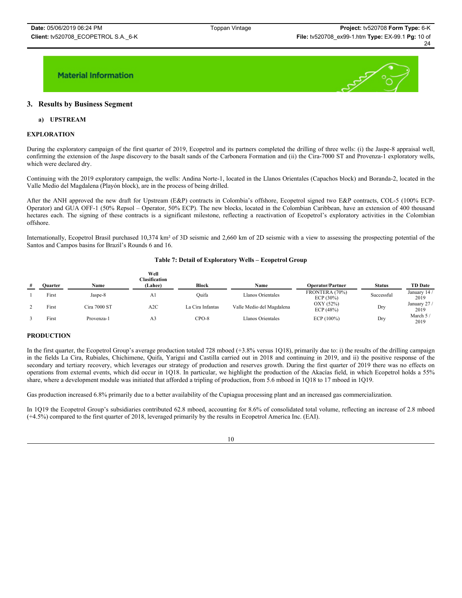

## **3. Results by Business Segment**

### **a) UPSTREAM**

#### **EXPLORATION**

During the exploratory campaign of the first quarter of 2019, Ecopetrol and its partners completed the drilling of three wells: (i) the Jaspe-8 appraisal well, confirming the extension of the Jaspe discovery to the basalt sands of the Carbonera Formation and (ii) the Cira-7000 ST and Provenza-1 exploratory wells, which were declared dry.

Continuing with the 2019 exploratory campaign, the wells: Andina Norte-1, located in the Llanos Orientales (Capachos block) and Boranda-2, located in the Valle Medio del Magdalena (Playón block), are in the process of being drilled.

After the ANH approved the new draft for Upstream (E&P) contracts in Colombia's offshore, Ecopetrol signed two E&P contracts, COL-5 (100% ECP-Operator) and GUA OFF-1 (50% Repsol – Operator, 50% ECP). The new blocks, located in the Colombian Caribbean, have an extension of 400 thousand hectares each. The signing of these contracts is a significant milestone, reflecting a reactivation of Ecopetrol's exploratory activities in the Colombian offshore.

Internationally, Ecopetrol Brasil purchased 10,374 km² of 3D seismic and 2,660 km of 2D seismic with a view to assessing the prospecting potential of the Santos and Campos basins for Brazil's Rounds 6 and 16.

#### **Table 7: Detail of Exploratory Wells – Ecopetrol Group**

| # | <b>Ouarter</b> | Name         | Well<br><b>Clasification</b><br>(Lahee) | <b>Block</b>     | Name                      | <b>Operator/Partner</b>        | <b>Status</b> | <b>TD Date</b>       |
|---|----------------|--------------|-----------------------------------------|------------------|---------------------------|--------------------------------|---------------|----------------------|
|   | First          | Jaspe-8      | A <sub>1</sub>                          | Ouifa            | Llanos Orientales         | FRONTERA (70%)<br>ECP $(30\%)$ | Successful    | January 14 /<br>2019 |
|   | First          | Cira 7000 ST | A2C                                     | La Cira Infantas | Valle Medio del Magdalena | OXY (52%)<br>ECP $(48%)$       | Dry           | January 27/<br>2019  |
|   | First          | Provenza-1   | A <sub>3</sub>                          | $CPO-8$          | Llanos Orientales         | ECP $(100\%)$                  | Dry           | March 5/<br>2019     |

### **PRODUCTION**

In the first quarter, the Ecopetrol Group's average production totaled 728 mboed (+3.8% versus 1Q18), primarily due to: i) the results of the drilling campaign in the fields La Cira, Rubiales, Chichimene, Quifa, Yariguí and Castilla carried out in 2018 and continuing in 2019, and ii) the positive response of the secondary and tertiary recovery, which leverages our strategy of production and reserves growth. During the first quarter of 2019 there was no effects on operations from external events, which did occur in 1Q18. In particular, we highlight the production of the Akacías field, in which Ecopetrol holds a 55% share, where a development module was initiated that afforded a tripling of production, from 5.6 mboed in 1Q18 to 17 mboed in 1Q19.

Gas production increased 6.8% primarily due to a better availability of the Cupiagua processing plant and an increased gas commercialization.

In 1Q19 the Ecopetrol Group's subsidiaries contributed 62.8 mboed, accounting for 8.6% of consolidated total volume, reflecting an increase of 2.8 mboed (+4.5%) compared to the first quarter of 2018, leveraged primarily by the results in Ecopetrol America Inc. (EAI).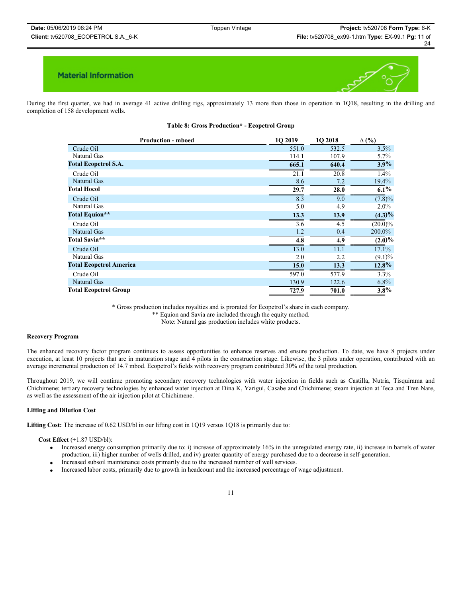

During the first quarter, we had in average 41 active drilling rigs, approximately 13 more than those in operation in 1Q18, resulting in the drilling and completion of 158 development wells.

|  |  | Table 8: Gross Production* - Ecopetrol Group |  |  |  |
|--|--|----------------------------------------------|--|--|--|
|--|--|----------------------------------------------|--|--|--|

| <b>Production - mboed</b>      | 1Q 2019 | 1O 2018 | $\Delta$ (%) |
|--------------------------------|---------|---------|--------------|
| Crude Oil                      | 551.0   | 532.5   | 3.5%         |
| Natural Gas                    | 114.1   | 107.9   | 5.7%         |
| <b>Total Ecopetrol S.A.</b>    | 665.1   | 640.4   | $3.9\%$      |
| Crude Oil                      | 21.1    | 20.8    | 1.4%         |
| Natural Gas                    | 8.6     | 7.2     | 19.4%        |
| <b>Total Hocol</b>             | 29.7    | 28.0    | $6.1\%$      |
| Crude Oil                      | 8.3     | 9.0     | $(7.8)\%$    |
| Natural Gas                    | 5.0     | 4.9     | $2.0\%$      |
| <b>Total Equion**</b>          | 13.3    | 13.9    | $(4.3)\%$    |
| Crude Oil                      | 3.6     | 4.5     | $(20.0)\%$   |
| Natural Gas                    | 1.2     | 0.4     | 200.0%       |
| Total Savia**                  | 4.8     | 4.9     | $(2.0)\%$    |
| Crude Oil                      | 13.0    | 11.1    | 17.1%        |
| Natural Gas                    | 2.0     | 2.2     | $(9.1)\%$    |
| <b>Total Ecopetrol America</b> | 15.0    | 13.3    | $12.8\%$     |
| Crude Oil                      | 597.0   | 577.9   | 3.3%         |
| Natural Gas                    | 130.9   | 122.6   | $6.8\%$      |
| <b>Total Ecopetrol Group</b>   | 727.9   | 701.0   | $3.8\%$      |

\* Gross production includes royalties and is prorated for Ecopetrol's share in each company.

\*\* Equion and Savia are included through the equity method.

Note: Natural gas production includes white products.

#### **Recovery Program**

The enhanced recovery factor program continues to assess opportunities to enhance reserves and ensure production. To date, we have 8 projects under execution, at least 10 projects that are in maturation stage and 4 pilots in the construction stage. Likewise, the 3 pilots under operation, contributed with an average incremental production of 14.7 mbod. Ecopetrol's fields with recovery program contributed 30% of the total production.

Throughout 2019, we will continue promoting secondary recovery technologies with water injection in fields such as Castilla, Nutria, Tisquirama and Chichimene; tertiary recovery technologies by enhanced water injection at Dina K, Yariguí, Casabe and Chichimene; steam injection at Teca and Tren Nare, as well as the assessment of the air injection pilot at Chichimene.

#### **Lifting and Dilution Cost**

**Lifting Cost:** The increase of 0.62 USD/bl in our lifting cost in 1Q19 versus 1Q18 is primarily due to:

#### **Cost Effect** (+1.87 USD/bl):

- x Increased energy consumption primarily due to: i) increase of approximately 16% in the unregulated energy rate, ii) increase in barrels of water production, iii) higher number of wells drilled, and iv) greater quantity of energy purchased due to a decrease in self-generation.
- Increased subsoil maintenance costs primarily due to the increased number of well services.
- x Increased labor costs, primarily due to growth in headcount and the increased percentage of wage adjustment.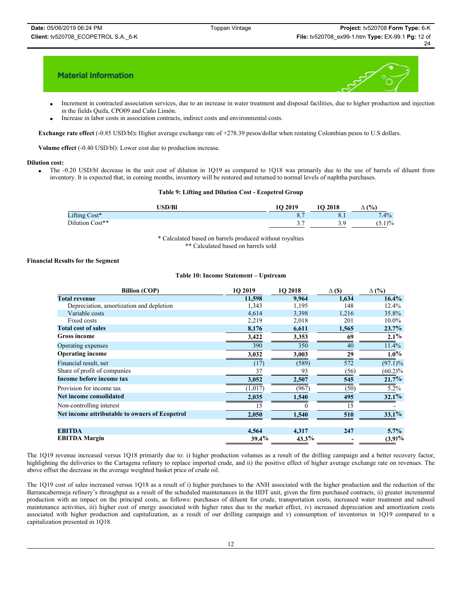

- Increment in contracted association services, due to an increase in water treatment and disposal facilities, due to higher production and injection in the fields Quifa, CPO09 and Caño Limón.
- Increase in labor costs in association contracts, indirect costs and environmental costs.

**Exchange rate effect** (-0.85 USD/bl)**:** Higher average exchange rate of +278.39 pesos/dollar when restating Colombian pesos to U.S dollars.

**Volume effect** (-0.40 USD/bl): Lower cost due to production increase.

#### **Dilution cost:**

• The -0.20 USD/bl decrease in the unit cost of dilution in 1Q19 as compared to 1Q18 was primarily due to the use of barrels of diluent from inventory. It is expected that, in coming months, inventory will be restored and returned to normal levels of naphtha purchases.

#### **Table 9: Lifting and Dilution Cost - Ecopetrol Group**

| <b>JSD/Bl</b>   | 10 2019  | 10 2018          | (9/6)<br>-             |
|-----------------|----------|------------------|------------------------|
| Lifting Cost*   |          | $\mathbf{O}$ . I | $.4\%$<br>$\mathbf{r}$ |
| Dilution Cost** | <u>.</u> | - 0<br>ر . ر     | 1)%<br>$13.1$ .        |

\* Calculated based on barrels produced without royalties \*\* Calculated based on barrels sold

#### **Financial Results for the Segment**

#### **Table 10: Income Statement – Upstream**

| <b>Billion (COP)</b>                           | 1O 2019 | 1O 2018  | $\Delta$ (\$) | $\Delta$ (%) |
|------------------------------------------------|---------|----------|---------------|--------------|
| <b>Total revenue</b>                           | 11,598  | 9.964    | 1,634         | 16.4%        |
| Depreciation, amortization and depletion       | 1,343   | 1,195    | 148           | 12.4%        |
| Variable costs                                 | 4,614   | 3,398    | 1,216         | 35.8%        |
| Fixed costs                                    | 2,219   | 2,018    | 201           | 10.0%        |
| <b>Total cost of sales</b>                     | 8,176   | 6,611    | 1,565         | 23.7%        |
| <b>Gross income</b>                            | 3,422   | 3,353    | 69            | 2.1%         |
| Operating expenses                             | 390     | 350      | 40            | 11.4%        |
| <b>Operating income</b>                        | 3,032   | 3,003    | 29            | $1.0\%$      |
| Financial result, net                          | (17)    | (589)    | 572           | $(97.1)\%$   |
| Share of profit of companies                   | 37      | 93       | (56)          | $(60.2)\%$   |
| Income before income tax                       | 3,052   | 2,507    | 545           | 21.7%        |
| Provision for income tax                       | (1,017) | (967)    | (50)          | $5.2\%$      |
| Net income consolidated                        | 2,035   | 1,540    | 495           | 32.1%        |
| Non-controlling interest                       | 15      |          | 15            |              |
| Net income attributable to owners of Ecopetrol | 2,050   | 1,540    | 510           | 33.1%        |
| <b>EBITDA</b>                                  | 4,564   | 4,317    | 247           | $5.7\%$      |
| <b>EBITDA Margin</b>                           | 39.4%   | $43.3\%$ |               | $(3.9)\%$    |

The 1Q19 revenue increased versus 1Q18 primarily due to: i) higher production volumes as a result of the drilling campaign and a better recovery factor, highlighting the deliveries to the Cartagena refinery to replace imported crude, and ii) the positive effect of higher average exchange rate on revenues. The above offset the decrease in the average weighted basket price of crude oil.

The 1Q19 cost of sales increased versus 1Q18 as a result of i) higher purchases to the ANH associated with the higher production and the reduction of the Barrancabermeja refinery's throughput as a result of the scheduled maintenances in the HDT unit, given the firm purchased contracts, ii) greater incremental production with an impact on the principal costs, as follows: purchases of diluent for crude, transportation costs, increased water treatment and subsoil maintenance activities, iii) higher cost of energy associated with higher rates due to the market effect, iv) increased depreciation and amortization costs associated with higher production and capitalization, as a result of our drilling campaign and v) consumption of inventories in 1Q19 compared to a capitalization presented in 1Q18.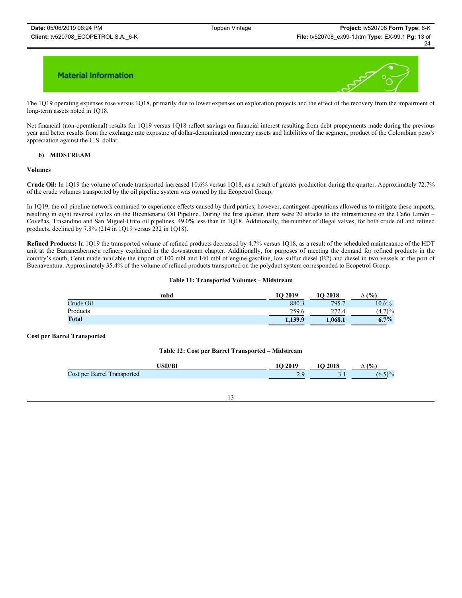

The 1Q19 operating expenses rose versus 1Q18, primarily due to lower expenses on exploration projects and the effect of the recovery from the impairment of long-term assets noted in 1Q18.

Net financial (non-operational) results for 1Q19 versus 1Q18 reflect savings on financial interest resulting from debt prepayments made during the previous year and better results from the exchange rate exposure of dollar-denominated monetary assets and liabilities of the segment, product of the Colombian peso's appreciation against the U.S. dollar.

#### **b) MIDSTREAM**

#### **Volumes**

**Crude Oil:** In 1Q19 the volume of crude transported increased 10.6% versus 1Q18, as a result of greater production during the quarter. Approximately 72.7% of the crude volumes transported by the oil pipeline system was owned by the Ecopetrol Group.

In 1Q19, the oil pipeline network continued to experience effects caused by third parties; however, contingent operations allowed us to mitigate these impacts, resulting in eight reversal cycles on the Bicentenario Oil Pipeline. During the first quarter, there were 20 attacks to the infrastructure on the Caño Limón – Coveñas, Trasandino and San Miguel-Orito oil pipelines, 49.0% less than in 1Q18. Additionally, the number of illegal valves, for both crude oil and refined products, declined by 7.8% (214 in 1Q19 versus 232 in 1Q18).

**Refined Products:** In 1Q19 the transported volume of refined products decreased by 4.7% versus 1Q18, as a result of the scheduled maintenance of the HDT unit at the Barrancabermeja refinery explained in the downstream chapter. Additionally, for purposes of meeting the demand for refined products in the country's south, Cenit made available the import of 100 mbl and 140 mbl of engine gasoline, low-sulfur diesel (B2) and diesel in two vessels at the port of Buenaventura. Approximately 35.4% of the volume of refined products transported on the polyduct system corresponded to Ecopetrol Group.

#### **Table 11: Transported Volumes – Midstream**

| mbd       | 10 2019 | 10 2018 | (%)<br>Δ |
|-----------|---------|---------|----------|
| Crude Oil | 880.3   | 795.7   | $10.6\%$ |
| Products  | 259.6   | 272.4   | (4.7)%   |
| Total     | 1,139.9 | 1.068.1 | $6.7\%$  |

#### **Cost per Barrel Transported**

#### **Table 12: Cost per Barrel Transported – Midstream**

| $T$ $T$ $T$ $T$ $T$ $T$       |        | 2018                | $(0)_{0}$<br>-                      |
|-------------------------------|--------|---------------------|-------------------------------------|
| Cost per Barrel<br>ransported | $\sim$ | $\sim\cdot$ $\cdot$ | ١0<br>$\mathbf{v} \cdot \mathbf{v}$ |

#### 13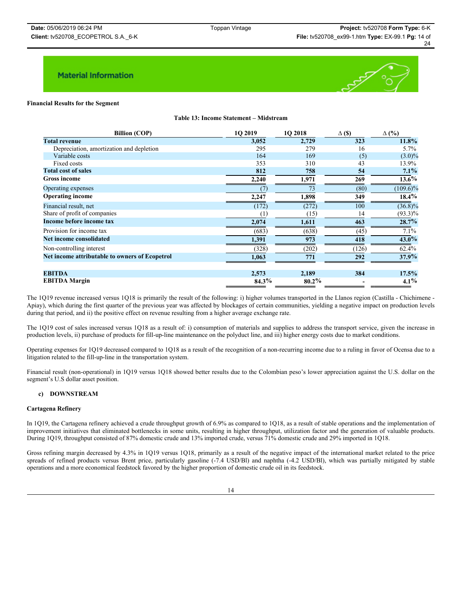

#### **Financial Results for the Segment**

**Table 13: Income Statement – Midstream**

| <b>Billion (COP)</b>                           | 1O 2019 | 1O 2018  | $\Delta$ (\$) | $\Delta$ (%) |
|------------------------------------------------|---------|----------|---------------|--------------|
| <b>Total revenue</b>                           | 3,052   | 2,729    | 323           | 11.8%        |
| Depreciation, amortization and depletion       | 295     | 279      | 16            | $5.7\%$      |
| Variable costs                                 | 164     | 169      | (5)           | $(3.0)\%$    |
| Fixed costs                                    | 353     | 310      | 43            | 13.9%        |
| <b>Total cost of sales</b>                     | 812     | 758      | 54            | $7.1\%$      |
| <b>Gross income</b>                            | 2,240   | 1,971    | 269           | $13.6\%$     |
| Operating expenses                             | (7)     | 73       | (80)          | $(109.6)\%$  |
| <b>Operating income</b>                        | 2,247   | 1,898    | 349           | $18.4\%$     |
| Financial result, net                          | (172)   | (272)    | 100           | $(36.8)\%$   |
| Share of profit of companies                   | (1)     | (15)     | 14            | $(93.3)\%$   |
| Income before income tax                       | 2,074   | 1,611    | 463           | 28.7%        |
| Provision for income tax                       | (683)   | (638)    | (45)          | 7.1%         |
| Net income consolidated                        | 1,391   | 973      | 418           | $43.0\%$     |
| Non-controlling interest                       | (328)   | (202)    | (126)         | 62.4%        |
| Net income attributable to owners of Ecopetrol | 1,063   | 771      | 292           | $37.9\%$     |
| <b>EBITDA</b>                                  | 2,573   | 2,189    | 384           | 17.5%        |
| <b>EBITDA</b> Margin                           | 84.3%   | $80.2\%$ |               | $4.1\%$      |

The 1Q19 revenue increased versus 1Q18 is primarily the result of the following: i) higher volumes transported in the Llanos region (Castilla - Chichimene -Apiay), which during the first quarter of the previous year was affected by blockages of certain communities, yielding a negative impact on production levels during that period, and ii) the positive effect on revenue resulting from a higher average exchange rate.

The 1Q19 cost of sales increased versus 1Q18 as a result of: i) consumption of materials and supplies to address the transport service, given the increase in production levels, ii) purchase of products for fill-up-line maintenance on the polyduct line, and iii) higher energy costs due to market conditions.

Operating expenses for 1Q19 decreased compared to 1Q18 as a result of the recognition of a non-recurring income due to a ruling in favor of Ocensa due to a litigation related to the fill-up-line in the transportation system.

Financial result (non-operational) in 1Q19 versus 1Q18 showed better results due to the Colombian peso's lower appreciation against the U.S. dollar on the segment's U.S dollar asset position.

## **c) DOWNSTREAM**

#### **Cartagena Refinery**

In 1Q19, the Cartagena refinery achieved a crude throughput growth of 6.9% as compared to 1Q18, as a result of stable operations and the implementation of improvement initiatives that eliminated bottlenecks in some units, resulting in higher throughput, utilization factor and the generation of valuable products. During 1Q19, throughput consisted of 87% domestic crude and 13% imported crude, versus 71% domestic crude and 29% imported in 1Q18.

Gross refining margin decreased by 4.3% in 1Q19 versus 1Q18, primarily as a result of the negative impact of the international market related to the price spreads of refined products versus Brent price, particularly gasoline (-7.4 USD/Bl) and naphtha (-4.2 USD/Bl), which was partially mitigated by stable operations and a more economical feedstock favored by the higher proportion of domestic crude oil in its feedstock.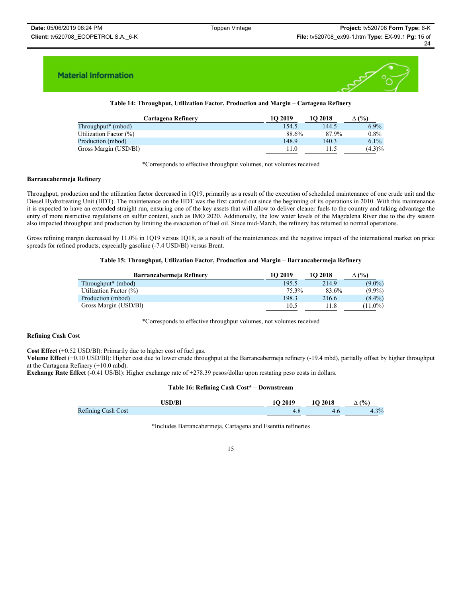

## **Table 14: Throughput, Utilization Factor, Production and Margin – Cartagena Refinery**

| Cartagena Refinery             | 10 2019 | 10 2018 | (%)<br>Δ  |
|--------------------------------|---------|---------|-----------|
| Throughput <sup>*</sup> (mbod) | 154.5   | 144.5   | $6.9\%$   |
| Utilization Factor $(\%)$      | 88.6%   | 87.9%   | $0.8\%$   |
| Production (mbod)              | 148.9   | 140.3   | $6.1\%$   |
| Gross Margin (USD/BI)          | 11.0    | 11.5    | $(4.3)\%$ |

\*Corresponds to effective throughput volumes, not volumes received

#### **Barrancabermeja Refinery**

Throughput, production and the utilization factor decreased in 1Q19, primarily as a result of the execution of scheduled maintenance of one crude unit and the Diesel Hydrotreating Unit (HDT). The maintenance on the HDT was the first carried out since the beginning of its operations in 2010. With this maintenance it is expected to have an extended straight run, ensuring one of the key assets that will allow to deliver cleaner fuels to the country and taking advantage the entry of more restrictive regulations on sulfur content, such as IMO 2020. Additionally, the low water levels of the Magdalena River due to the dry season also impacted throughput and production by limiting the evacuation of fuel oil. Since mid-March, the refinery has returned to normal operations.

Gross refining margin decreased by 11.0% in 1Q19 versus 1Q18, as a result of the maintenances and the negative impact of the international market on price spreads for refined products, especially gasoline (-7.4 USD/Bl) versus Brent.

#### **Table 15: Throughput, Utilization Factor, Production and Margin – Barrancabermeja Refinery**

| Barrancabermeja Refinery       | 10 2019 | 10 2018 | $\Delta$ (%) |
|--------------------------------|---------|---------|--------------|
| Throughput <sup>*</sup> (mbod) | 195.5   | 214.9   | $(9.0\%)$    |
| Utilization Factor $(\%)$      | 75.3%   | 83.6%   | $(9.9\%)$    |
| Production (mbod)              | 198.3   | 216.6   | $(8.4\%)$    |
| Gross Margin (USD/BI)          | 10.5    | 11.8    | $(11.0\%)$   |

\*Corresponds to effective throughput volumes, not volumes received

#### **Refining Cash Cost**

**Cost Effect** (+0.52 USD/Bl): Primarily due to higher cost of fuel gas.

**Volume Effect** (+0.10 USD/Bl): Higher cost due to lower crude throughput at the Barrancabermeja refinery (-19.4 mbd), partially offset by higher throughput at the Cartagena Refinery (+10.0 mbd).

**Exchange Rate Effect** (-0.41 US/Bl): Higher exchange rate of +278.39 pesos/dollar upon restating peso costs in dollars.

#### **Table 16: Refining Cash Cost\* – Downstream**

| <b>USD/Bl</b>      | 2019<br>16 | 10 2018 | (0)<br>-    |
|--------------------|------------|---------|-------------|
| Refining Cash Cost | t. C       |         | 20/<br>ر. ۱ |

\*Includes Barrancabermeja, Cartagena and Esenttia refineries

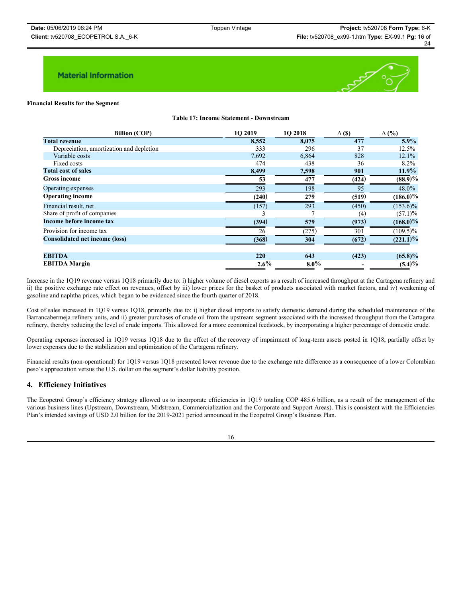

#### **Financial Results for the Segment**

**Table 17: Income Statement - Downstream**

| <b>Billion (COP)</b>                     | 1O 2019 | 1O 2018 | $\Delta$ (\$) | $\Delta$ (%) |
|------------------------------------------|---------|---------|---------------|--------------|
| <b>Total revenue</b>                     | 8,552   | 8,075   | 477           | $5.9\%$      |
| Depreciation, amortization and depletion | 333     | 296     | 37            | 12.5%        |
| Variable costs                           | 7,692   | 6,864   | 828           | 12.1%        |
| Fixed costs                              | 474     | 438     | 36            | 8.2%         |
| <b>Total cost of sales</b>               | 8,499   | 7,598   | 901           | $11.9\%$     |
| <b>Gross income</b>                      | 53      | 477     | (424)         | $(88.9)\%$   |
| Operating expenses                       | 293     | 198     | 95            | 48.0%        |
| <b>Operating income</b>                  | (240)   | 279     | (519)         | $(186.0)\%$  |
| Financial result, net                    | (157)   | 293     | (450)         | $(153.6)\%$  |
| Share of profit of companies             |         |         | (4)           | $(57.1)\%$   |
| Income before income tax                 | (394)   | 579     | (973)         | $(168.0)\%$  |
| Provision for income tax                 | 26      | (275)   | 301           | $(109.5)\%$  |
| <b>Consolidated net income (loss)</b>    | (368)   | 304     | (672)         | $(221.1)$ %  |
|                                          |         |         |               |              |
| <b>EBITDA</b>                            | 220     | 643     | (423)         | $(65.8)\%$   |
| <b>EBITDA</b> Margin                     | $2.6\%$ | $8.0\%$ |               | (5.4)%       |

Increase in the 1Q19 revenue versus 1Q18 primarily due to: i) higher volume of diesel exports as a result of increased throughput at the Cartagena refinery and ii) the positive exchange rate effect on revenues, offset by iii) lower prices for the basket of products associated with market factors, and iv) weakening of gasoline and naphtha prices, which began to be evidenced since the fourth quarter of 2018.

Cost of sales increased in 1Q19 versus 1Q18, primarily due to: i) higher diesel imports to satisfy domestic demand during the scheduled maintenance of the Barrancabermeja refinery units, and ii) greater purchases of crude oil from the upstream segment associated with the increased throughput from the Cartagena refinery, thereby reducing the level of crude imports. This allowed for a more economical feedstock, by incorporating a higher percentage of domestic crude.

Operating expenses increased in 1Q19 versus 1Q18 due to the effect of the recovery of impairment of long-term assets posted in 1Q18, partially offset by lower expenses due to the stabilization and optimization of the Cartagena refinery.

Financial results (non-operational) for 1Q19 versus 1Q18 presented lower revenue due to the exchange rate difference as a consequence of a lower Colombian peso's appreciation versus the U.S. dollar on the segment's dollar liability position.

## **4. Efficiency Initiatives**

The Ecopetrol Group's efficiency strategy allowed us to incorporate efficiencies in 1Q19 totaling COP 485.6 billion, as a result of the management of the various business lines (Upstream, Downstream, Midstream, Commercialization and the Corporate and Support Areas). This is consistent with the Efficiencies Plan's intended savings of USD 2.0 billion for the 2019-2021 period announced in the Ecopetrol Group's Business Plan.

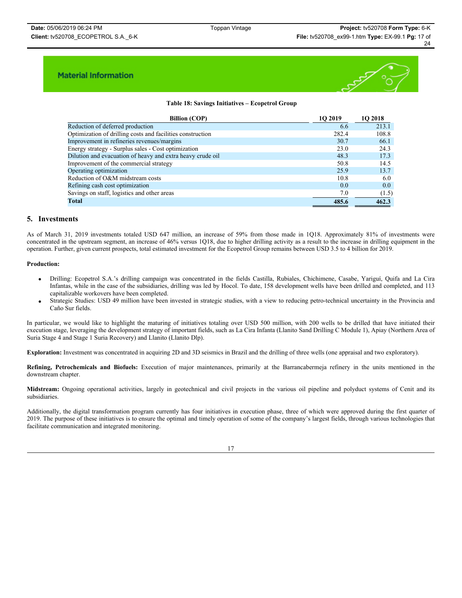

### **Table 18: Savings Initiatives – Ecopetrol Group**

| <b>Billion (COP)</b>                                       | <b>1O 2019</b> | <b>1O 2018</b> |
|------------------------------------------------------------|----------------|----------------|
| Reduction of deferred production                           | 6.6            | 213.1          |
| Optimization of drilling costs and facilities construction | 282.4          | 108.8          |
| Improvement in refineries revenues/margins                 | 30.7           | 66.1           |
| Energy strategy - Surplus sales - Cost optimization        | 23.0           | 24.3           |
| Dilution and evacuation of heavy and extra heavy crude oil | 48.3           | 17.3           |
| Improvement of the commercial strategy                     | 50.8           | 14.5           |
| Operating optimization                                     | 25.9           | 13.7           |
| Reduction of O&M midstream costs                           | 10.8           | 6.0            |
| Refining cash cost optimization                            | 0.0            | 0.0            |
| Savings on staff, logistics and other areas                | 7.0            | (1.5)          |
| Total                                                      | 485.6          | 462.3          |

## **5. Investments**

As of March 31, 2019 investments totaled USD 647 million, an increase of 59% from those made in 1Q18. Approximately 81% of investments were concentrated in the upstream segment, an increase of 46% versus 1Q18, due to higher drilling activity as a result to the increase in drilling equipment in the operation. Further, given current prospects, total estimated investment for the Ecopetrol Group remains between USD 3.5 to 4 billion for 2019.

#### **Production:**

- x Drilling: Ecopetrol S.A.'s drilling campaign was concentrated in the fields Castilla, Rubiales, Chichimene, Casabe, Yariguí, Quifa and La Cira Infantas, while in the case of the subsidiaries, drilling was led by Hocol. To date, 158 development wells have been drilled and completed, and 113 capitalizable workovers have been completed.
- x Strategic Studies: USD 49 million have been invested in strategic studies, with a view to reducing petro-technical uncertainty in the Provincia and Caño Sur fields.

In particular, we would like to highlight the maturing of initiatives totaling over USD 500 million, with 200 wells to be drilled that have initiated their execution stage, leveraging the development strategy of important fields, such as La Cira Infanta (Llanito Sand Drilling C Module 1), Apiay (Northern Area of Suria Stage 4 and Stage 1 Suria Recovery) and Llanito (Llanito Dlp).

**Exploration:** Investment was concentrated in acquiring 2D and 3D seismics in Brazil and the drilling of three wells (one appraisal and two exploratory).

**Refining, Petrochemicals and Biofuels:** Execution of major maintenances, primarily at the Barrancabermeja refinery in the units mentioned in the downstream chapter.

**Midstream:** Ongoing operational activities, largely in geotechnical and civil projects in the various oil pipeline and polyduct systems of Cenit and its subsidiaries.

Additionally, the digital transformation program currently has four initiatives in execution phase, three of which were approved during the first quarter of 2019. The purpose of these initiatives is to ensure the optimal and timely operation of some of the company's largest fields, through various technologies that facilitate communication and integrated monitoring.

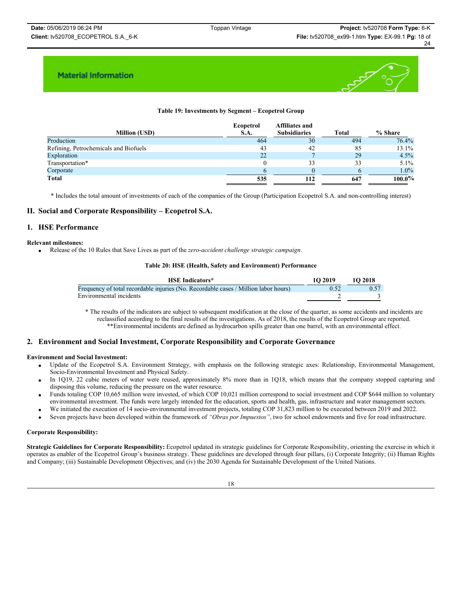

## **Table 19: Investments by Segment – Ecopetrol Group**

| Ecopetrol<br>S.A. | <b>Affiliates and</b><br><b>Subsidiaries</b> | <b>Total</b> | % Share   |
|-------------------|----------------------------------------------|--------------|-----------|
| 464               | 30                                           | 494          | 76.4%     |
| 43                | 42                                           | 85           | 13.1%     |
| 22                |                                              | 29           | 4.5%      |
|                   | 33                                           | 33           | 5.1%      |
|                   |                                              |              | $1.0\%$   |
| 535               | 112                                          | 647          | $100.0\%$ |
|                   |                                              |              |           |

\* Includes the total amount of investments of each of the companies of the Group (Participation Ecopetrol S.A. and non-controlling interest)

## **II. Social and Corporate Responsibility – Ecopetrol S.A.**

## **1. HSE Performance**

### **Relevant milestones:**

x Release of the 10 Rules that Save Lives as part of the *zero-accident challenge strategic campaign*.

#### **Table 20: HSE (Health, Safety and Environment) Performance**

| <b>HSE</b> Indicators*                                                              | 10 2019 | <b>1O 2018</b> |
|-------------------------------------------------------------------------------------|---------|----------------|
| Frequency of total recordable injuries (No. Recordable cases / Million labor hours) |         | 0.57           |
| Environmental incidents                                                             |         |                |

\* The results of the indicators are subject to subsequent modification at the close of the quarter, as some accidents and incidents are reclassified according to the final results of the investigations. As of 2018, the results of the Ecopetrol Group are reported. \*\*Environmental incidents are defined as hydrocarbon spills greater than one barrel, with an environmental effect.

## **2. Environment and Social Investment, Corporate Responsibility and Corporate Governance**

## **Environment and Social Investment:**

- Update of the Ecopetrol S.A. Environment Strategy, with emphasis on the following strategic axes: Relationship, Environmental Management, Socio-Environmental Investment and Physical Safety.
- In 1Q19, 22 cubic meters of water were reused, approximately 8% more than in 1Q18, which means that the company stopped capturing and disposing this volume, reducing the pressure on the water resource.
- x Funds totaling COP 10,665 million were invested, of which COP 10,021 million correspond to social investment and COP \$644 million to voluntary environmental investment. The funds were largely intended for the education, sports and health, gas, infrastructure and water management sectors.
- x We initiated the execution of 14 socio-environmental investment projects, totaling COP 31,823 million to be executed between 2019 and 2022.
- x Seven projects have been developed within the framework of *"Obras por Impuestos"*, two for school endowments and five for road infrastructure.

### **Corporate Responsibility:**

**Strategic Guidelines for Corporate Responsibility:** Ecopetrol updated its strategic guidelines for Corporate Responsibility, orienting the exercise in which it operates as enabler of the Ecopetrol Group's business strategy. These guidelines are developed through four pillars, (i) Corporate Integrity; (ii) Human Rights and Company; (iii) Sustainable Development Objectives; and (iv) the 2030 Agenda for Sustainable Development of the United Nations.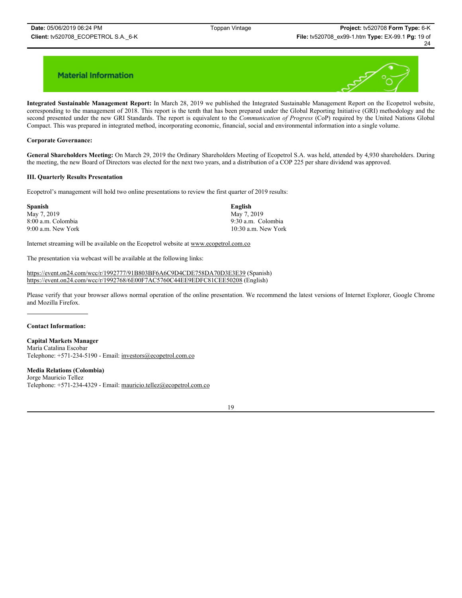

**Integrated Sustainable Management Report:** In March 28, 2019 we published the Integrated Sustainable Management Report on the Ecopetrol website, corresponding to the management of 2018. This report is the tenth that has been prepared under the Global Reporting Initiative (GRI) methodology and the second presented under the new GRI Standards. The report is equivalent to the *Communication of Progress* (CoP) required by the United Nations Global Compact. This was prepared in integrated method, incorporating economic, financial, social and environmental information into a single volume.

### **Corporate Governance:**

**General Shareholders Meeting:** On March 29, 2019 the Ordinary Shareholders Meeting of Ecopetrol S.A. was held, attended by 4,930 shareholders. During the meeting, the new Board of Directors was elected for the next two years, and a distribution of a COP 225 per share dividend was approved.

### **III. Quarterly Results Presentation**

Ecopetrol's management will hold two online presentations to review the first quarter of 2019 results:

| <b>Spanish</b>     | English               |
|--------------------|-----------------------|
| May 7, 2019        | May 7, 2019           |
| 8:00 a.m. Colombia | 9:30 a.m. Colombia    |
| 9:00 a.m. New York | $10:30$ a.m. New York |

Internet streaming will be available on the Ecopetrol website at www.ecopetrol.com.co

The presentation via webcast will be available at the following links:

https://event.on24.com/wcc/r/1992777/91B803BF6A6C9D4CDE758DA70D3E3E39 (Spanish) https://event.on24.com/wcc/r/1992768/6E00F7AC5760C44EE9EDFC81CEE50208 (English)

Please verify that your browser allows normal operation of the online presentation. We recommend the latest versions of Internet Explorer, Google Chrome and Mozilla Firefox.

### **Contact Information:**

**Capital Markets Manager** María Catalina Escobar Telephone: +571-234-5190 - Email: investors@ecopetrol.com.co

## **Media Relations (Colombia)**

Jorge Mauricio Tellez Telephone: +571-234-4329 - Email: mauricio.tellez@ecopetrol.com.co

19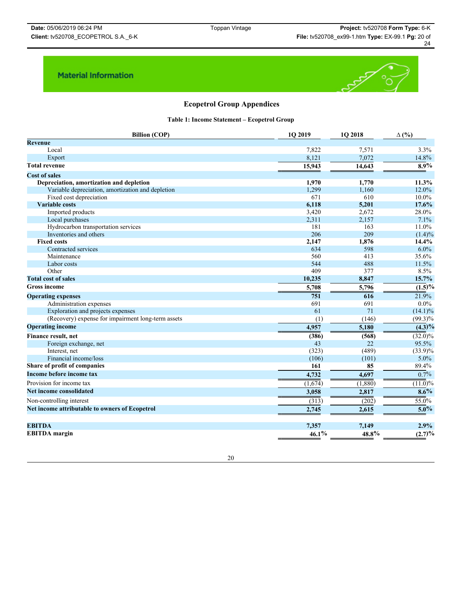

## **Ecopetrol Group Appendices**

**Table 1: Income Statement – Ecopetrol Group**

| <b>Billion (COP)</b>                               | 1Q 2019  | 1Q 2018 | $\Delta$ (%)            |
|----------------------------------------------------|----------|---------|-------------------------|
| <b>Revenue</b>                                     |          |         |                         |
| Local                                              | 7,822    | 7,571   | 3.3%                    |
| Export                                             | 8,121    | 7,072   | 14.8%                   |
| <b>Total revenue</b>                               | 15,943   | 14,643  | 8.9%                    |
| <b>Cost of sales</b>                               |          |         |                         |
| Depreciation, amortization and depletion           | 1,970    | 1,770   | 11.3%                   |
| Variable depreciation, amortization and depletion  | 1,299    | 1,160   | 12.0%                   |
| Fixed cost depreciation                            | 671      | 610     | 10.0%                   |
| <b>Variable costs</b>                              | 6,118    | 5,201   | 17.6%                   |
| Imported products                                  | 3,420    | 2,672   | 28.0%                   |
| Local purchases                                    | 2,311    | 2,157   | 7.1%                    |
| Hydrocarbon transportation services                | 181      | 163     | 11.0%                   |
| Inventories and others                             | 206      | 209     | $(1.4)\%$               |
| <b>Fixed costs</b>                                 | 2,147    | 1,876   | 14.4%                   |
| Contracted services                                | 634      | 598     | 6.0%                    |
| Maintenance                                        | 560      | 413     | 35.6%                   |
| Labor costs                                        | 544      | 488     | 11.5%                   |
| Other                                              | 409      | 377     | 8.5%                    |
| <b>Total cost of sales</b>                         | 10,235   | 8,847   | 15.7%                   |
| <b>Gross income</b>                                | 5,708    | 5,796   | $\overline{(1.5)}\%$    |
| <b>Operating expenses</b>                          | 751      | 616     | 21.9%                   |
| Administration expenses                            | 691      | 691     | $0.0\%$                 |
| Exploration and projects expenses                  | 61       | 71      | $(14.1)\%$              |
| (Recovery) expense for impairment long-term assets | (1)      | (146)   | $(99.3)\%$              |
| <b>Operating income</b>                            | 4,957    | 5,180   | $\overline{(4.3)^{0}/}$ |
| Finance result, net                                | (386)    | (568)   | $\overline{(32.0)}\%$   |
| Foreign exchange, net                              | 43       | 22      | 95.5%                   |
| Interest, net                                      | (323)    | (489)   | $(33.9)\%$              |
| Financial income/loss                              | (106)    | (101)   | 5.0%                    |
| Share of profit of companies                       | 161      | 85      | 89.4%                   |
| Income before income tax                           | 4,732    | 4,697   | $0.7\%$                 |
| Provision for income tax                           | (1,674)  | (1,880) | $\overline{(11.0)}\%$   |
| Net income consolidated                            | 3,058    | 2,817   | $8.6\%$                 |
| Non-controlling interest                           | (313)    | (202)   | 55.0%                   |
| Net income attributable to owners of Ecopetrol     | 2,745    | 2,615   | $5.0\%$                 |
| <b>EBITDA</b>                                      | 7,357    | 7,149   | 2.9%                    |
| <b>EBITDA</b> margin                               | $46.1\%$ | 48.8%   | (2.7)%                  |

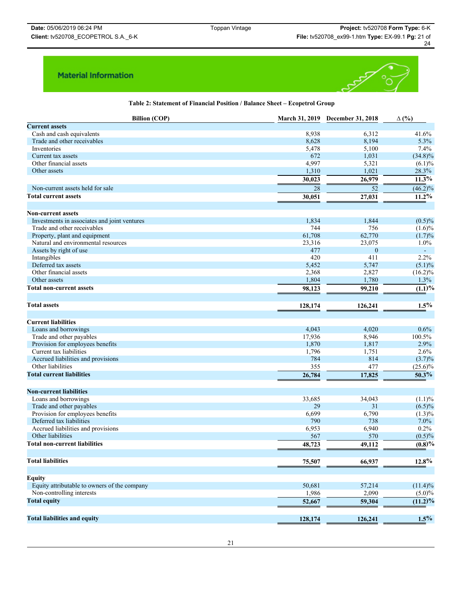

**Table 2: Statement of Financial Position / Balance Sheet – Ecopetrol Group**

| <b>Billion (COP)</b>                                    |         | March 31, 2019 December 31, 2018 | $\Delta$ (%)          |
|---------------------------------------------------------|---------|----------------------------------|-----------------------|
| <b>Current assets</b>                                   |         |                                  |                       |
| Cash and cash equivalents                               | 8,938   | 6,312                            | 41.6%                 |
| Trade and other receivables                             | 8,628   | 8,194                            | 5.3%                  |
| Inventories                                             | 5,478   | 5,100                            | 7.4%                  |
| Current tax assets                                      | 672     | 1,031                            | $(34.8)\%$            |
| Other financial assets                                  | 4,997   | 5,321                            | $(6.1)\%$             |
| Other assets                                            | 1,310   | 1,021                            | 28.3%                 |
|                                                         | 30,023  | 26,979                           | $\overline{11.3}$ %   |
| Non-current assets held for sale                        | 28      | 52                               | $\overline{(46.2)}\%$ |
| <b>Total current assets</b>                             | 30,051  | 27,031                           | 11.2%                 |
|                                                         |         |                                  |                       |
| <b>Non-current assets</b>                               |         |                                  |                       |
| Investments in associates and joint ventures            | 1,834   | 1,844                            | $(0.5)\%$             |
| Trade and other receivables                             | 744     | 756                              | $(1.6)\%$             |
| Property, plant and equipment                           | 61,708  | 62,770                           | (1.7)%                |
| Natural and environmental resources                     | 23,316  | 23,075                           | 1.0%                  |
| Assets by right of use                                  | 477     | $\boldsymbol{0}$                 | $\equiv$              |
| Intangibles                                             | 420     | 411                              | 2.2%                  |
| Deferred tax assets                                     | 5,452   | 5,747                            | $(5.1)\%$             |
| Other financial assets                                  | 2,368   | 2,827                            | $(16.2)\%$            |
| Other assets                                            | 1,804   | 1,780                            | 1.3%                  |
| <b>Total non-current assets</b>                         | 98,123  | 99,210                           | $(1.1)\%$             |
|                                                         |         |                                  |                       |
| <b>Total assets</b>                                     | 128,174 | 126,241                          | 1.5%                  |
|                                                         |         |                                  |                       |
| <b>Current liabilities</b>                              |         |                                  |                       |
| Loans and borrowings                                    | 4,043   | 4,020                            | 0.6%                  |
| Trade and other payables                                | 17,936  | 8,946                            | 100.5%                |
| Provision for employees benefits                        | 1,870   | 1,817                            | 2.9%                  |
| Current tax liabilities                                 | 1,796   | 1,751                            | 2.6%                  |
| Accrued liabilities and provisions                      | 784     | 814                              | $(3.7)\%$             |
| Other liabilities                                       | 355     | 477                              | $(25.6)\%$            |
| <b>Total current liabilities</b>                        | 26,784  | 17,825                           | $\overline{50.3}$ %   |
|                                                         |         |                                  |                       |
| <b>Non-current liabilities</b>                          |         |                                  |                       |
| Loans and borrowings                                    | 33,685  | 34,043                           | (1.1)%                |
| Trade and other payables                                | 29      | 31                               | $(6.5)\%$             |
| Provision for employees benefits                        | 6,699   | 6,790                            | $(1.3)\%$             |
| Deferred tax liabilities                                | 790     | 738                              | 7.0%                  |
| Accrued liabilities and provisions<br>Other liabilities | 6,953   | 6,940                            | 0.2%                  |
|                                                         | 567     | 570                              | $(0.5)\%$             |
| <b>Total non-current liabilities</b>                    | 48,723  | 49,112                           | $\overline{(0.8)}\%$  |
| <b>Total liabilities</b>                                | 75,507  | 66,937                           | $12.8\%$              |
|                                                         |         |                                  |                       |
| <b>Equity</b>                                           |         |                                  |                       |
| Equity attributable to owners of the company            | 50,681  | 57,214                           | $(11.4)\%$            |
| Non-controlling interests                               | 1,986   | 2,090                            | $(5.0)\%$             |
| <b>Total equity</b>                                     | 52,667  | 59,304                           | (11.2)%               |
|                                                         |         |                                  |                       |
| <b>Total liabilities and equity</b>                     | 128,174 | 126,241                          | $1.5\%$               |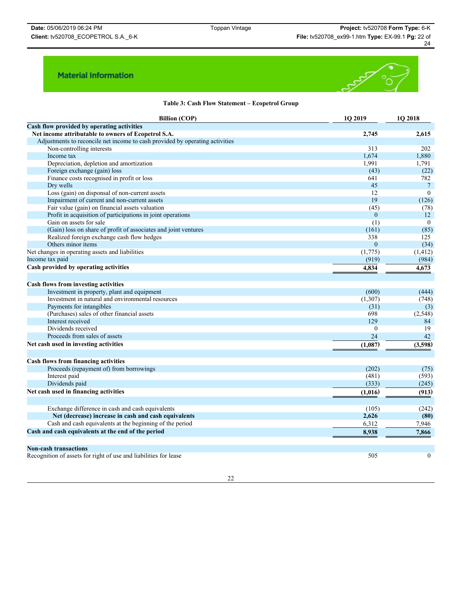

## **Table 3: Cash Flow Statement – Ecopetrol Group**

| <b>Billion (COP)</b>                                                         | 1O 2019  | 1O 2018          |
|------------------------------------------------------------------------------|----------|------------------|
| Cash flow provided by operating activities                                   |          |                  |
| Net income attributable to owners of Ecopetrol S.A.                          | 2,745    | 2,615            |
| Adjustments to reconcile net income to cash provided by operating activities |          |                  |
| Non-controlling interests                                                    | 313      | 202              |
| Income tax                                                                   | 1,674    | 1,880            |
| Depreciation, depletion and amortization                                     | 1,991    | 1,791            |
| Foreign exchange (gain) loss                                                 | (43)     | (22)             |
| Finance costs recognised in profit or loss                                   | 641      | 782              |
| Dry wells                                                                    | 45       | $7\phantom{.0}$  |
| Loss (gain) on disponsal of non-current assets                               | 12       | $\mathbf{0}$     |
| Impairment of current and non-current assets                                 | 19       | (126)            |
| Fair value (gain) on financial assets valuation                              | (45)     | (78)             |
| Profit in acquisition of participations in joint operations                  | $\theta$ | 12               |
| Gain on assets for sale                                                      | (1)      | $\mathbf{0}$     |
| (Gain) loss on share of profit of associates and joint ventures              | (161)    | (85)             |
| Realized foreign exchange cash flow hedges                                   | 338      | 125              |
| Others minor items                                                           | $\theta$ | (34)             |
| Net changes in operating assets and liabilities                              | (1,775)  | (1, 412)         |
| Income tax paid                                                              | (919)    | (984)            |
| Cash provided by operating activities                                        | 4,834    | 4,673            |
|                                                                              |          |                  |
| Cash flows from investing activities                                         |          |                  |
| Investment in property, plant and equipment                                  | (600)    | (444)            |
| Investment in natural and environmental resources                            | (1,307)  | (748)            |
| Payments for intangibles                                                     | (31)     | (3)              |
| (Purchases) sales of other financial assets                                  | 698      | (2,548)          |
| Interest received                                                            | 129      | 84               |
| Dividends received                                                           | $\theta$ | 19               |
| Proceeds from sales of assets                                                | 24       | 42               |
| Net cash used in investing activities                                        | (1,087)  | (3,598)          |
|                                                                              |          |                  |
| <b>Cash flows from financing activities</b>                                  |          |                  |
| Proceeds (repayment of) from borrowings                                      | (202)    | (75)             |
| Interest paid                                                                | (481)    | (593)            |
| Dividends paid                                                               | (333)    | (245)            |
| Net cash used in financing activities                                        | (1,016)  | (913)            |
|                                                                              |          |                  |
| Exchange difference in cash and cash equivalents                             | (105)    | (242)            |
| Net (decrease) increase in cash and cash equivalents                         | 2,626    | (80)             |
| Cash and cash equivalents at the beginning of the period                     | 6,312    | 7,946            |
| Cash and cash equivalents at the end of the period                           | 8,938    | 7.866            |
|                                                                              |          |                  |
| <b>Non-cash transactions</b>                                                 |          |                  |
| Recognition of assets for right of use and liabilities for lease             | 505      | $\boldsymbol{0}$ |
|                                                                              |          |                  |

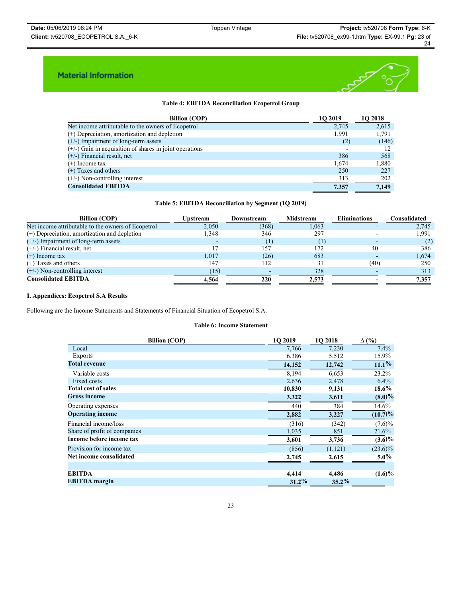

## **Table 4: EBITDA Reconciliation Ecopetrol Group**

| <b>Billion (COP)</b>                                      | <b>102019</b> | <b>1O 2018</b> |
|-----------------------------------------------------------|---------------|----------------|
| Net income attributable to the owners of Ecopetrol        | 2,745         | 2,615          |
| $(+)$ Depreciation, amortization and depletion            | 1.991         | 1,791          |
| $(+/-)$ Impairment of long-term assets                    | (2)           | (146)          |
| $(+/-)$ Gain in acquisition of shares in joint operations |               |                |
| $(+/-)$ Financial result, net                             | 386           | 568            |
| $(+)$ Income tax                                          | 1,674         | 1,880          |
| $(+)$ Taxes and others                                    | 250           | 227            |
| $(+/-)$ Non-controlling interest                          | 313           | 202            |
| <b>Consolidated EBITDA</b>                                | 7.357         | 7.149          |

## **Table 5: EBITDA Reconciliation by Segment (1Q 2019)**

| <b>Billion (COP)</b>                               | <b>Upstream</b> | Downstream | Midstream | <b>Eliminations</b> | Consolidated |
|----------------------------------------------------|-----------------|------------|-----------|---------------------|--------------|
| Net income attributable to the owners of Ecopetrol | 2,050           | (368)      | 1,063     |                     | 2,745        |
| (+) Depreciation, amortization and depletion       | 1.348           | 346        | 297       |                     | 1,991        |
| $(+/-)$ Impairment of long-term assets             |                 |            | (1)       |                     | (2)          |
| $(+/-)$ Financial result, net                      |                 | 157        | 172       | 40                  | 386          |
| $(+)$ Income tax                                   | 1,017           | (26)       | 683       |                     | 1,674        |
| $(+)$ Taxes and others                             | 147             | 112        | 31        | (40)                | 250          |
| $(+/-)$ Non-controlling interest                   | (15)            |            | 328       |                     | 313          |
| <b>Consolidated EBITDA</b>                         | 4.564           | 220        | 2.573     |                     | 7.357        |

## **I. Appendices: Ecopetrol S.A Results**

Following are the Income Statements and Statements of Financial Situation of Ecopetrol S.A.

### **Table 6: Income Statement**

| <b>Billion (COP)</b>         | <b>1O 2019</b> | 1O 2018 | $\Delta$ (%) |
|------------------------------|----------------|---------|--------------|
| Local                        | 7,766          | 7,230   | $7.4\%$      |
| Exports                      | 6,386          | 5,512   | 15.9%        |
| <b>Total revenue</b>         | 14,152         | 12,742  | $11.1\%$     |
| Variable costs               | 8.194          | 6,653   | 23.2%        |
| Fixed costs                  | 2,636          | 2,478   | $6.4\%$      |
| <b>Total cost of sales</b>   | 10,830         | 9,131   | 18.6%        |
| <b>Gross income</b>          | 3,322          | 3,611   | $(8.0)\%$    |
| Operating expenses           | 440            | 384     | $14.6\%$     |
| <b>Operating income</b>      | 2,882          | 3,227   | $(10.7)\%$   |
| Financial income/loss        | (316)          | (342)   | $(7.6)\%$    |
| Share of profit of companies | 1,035          | 851     | 21.6%        |
| Income before income tax     | 3,601          | 3,736   | $(3.6)\%$    |
| Provision for income tax     | (856)          | (1,121) | $(23.6)\%$   |
| Net income consolidated      | 2,745          | 2,615   | $5.0\%$      |
|                              |                |         |              |
| <b>EBITDA</b>                | 4,414          | 4,486   | $(1.6)\%$    |
| <b>EBITDA</b> margin         | 31.2%          | 35.2%   |              |